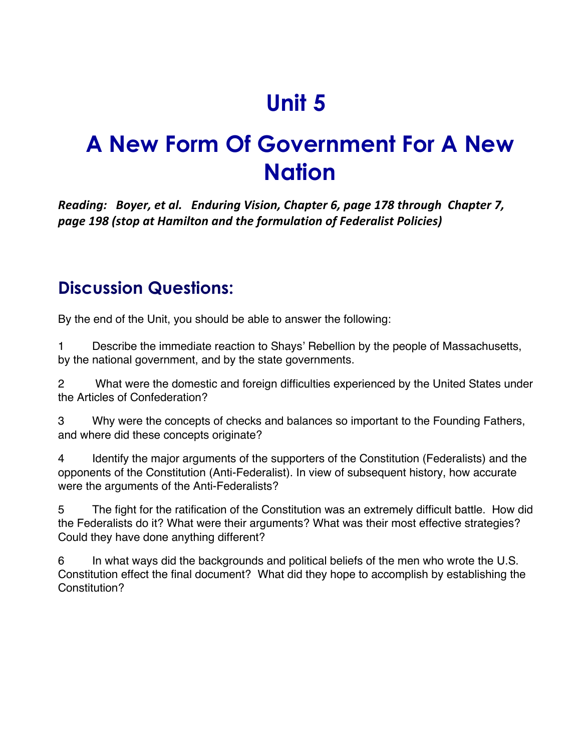## **Unit 5**

## **A New Form Of Government For A New Nation**

*Reading: Boyer, et al. Enduring Vision, Chapter 6, page 178 through Chapter 7, page 198 (stop at Hamilton and the formulation of Federalist Policies)*

## **Discussion Questions:**

By the end of the Unit, you should be able to answer the following:

1 Describe the immediate reaction to Shays' Rebellion by the people of Massachusetts, by the national government, and by the state governments.

2 What were the domestic and foreign difficulties experienced by the United States under the Articles of Confederation?

3 Why were the concepts of checks and balances so important to the Founding Fathers, and where did these concepts originate?

4 Identify the major arguments of the supporters of the Constitution (Federalists) and the opponents of the Constitution (Anti-Federalist). In view of subsequent history, how accurate were the arguments of the Anti-Federalists?

5 The fight for the ratification of the Constitution was an extremely difficult battle. How did the Federalists do it? What were their arguments? What was their most effective strategies? Could they have done anything different?

6 In what ways did the backgrounds and political beliefs of the men who wrote the U.S. Constitution effect the final document? What did they hope to accomplish by establishing the Constitution?